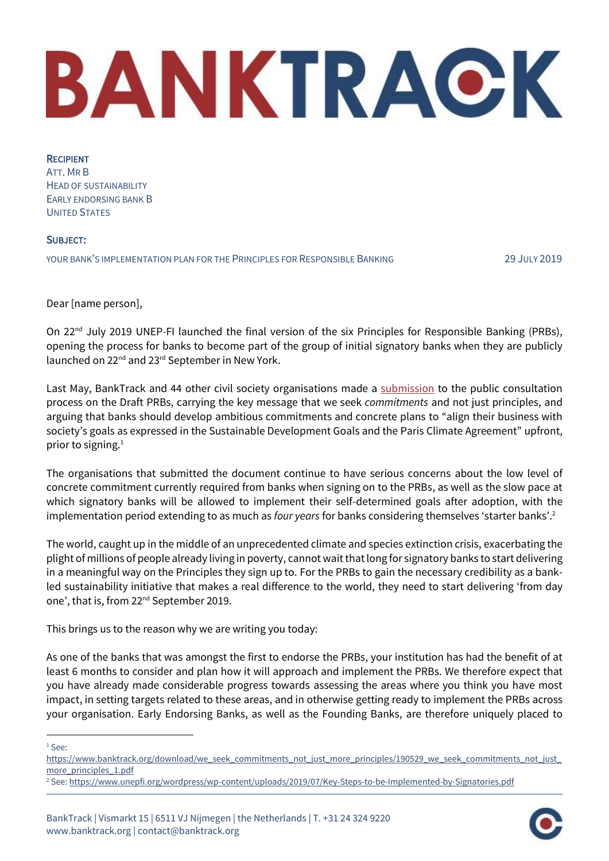# BANKTRACK

RECIPIENT ATT. MR B HEAD OF SUSTAINABILITY EARLY ENDORSING BANK B UNITED STATES

# SUBJECT:

YOUR BANK'S IMPLEMENTATION PLAN FOR THE PRINCIPLES FOR RESPONSIBLE BANKING 29 JULY 2019

Dear [name person],

On 22<sup>nd</sup> July 2019 UNEP-FI launched the final version of the six Principles for Responsible Banking (PRBs), opening the process for banks to become part of the group of initial signatory banks when they are publicly launched on 22<sup>nd</sup> and 23<sup>rd</sup> September in New York.

Last May, BankTrack and 44 other civil society organisations made a [submission](https://www.banktrack.org/download/we_seek_commitments_not_just_more_principles/190529_we_seek_commitments_not_just_more_principles_1.pdf) to the public consultation process on the Draft PRBs, carrying the key message that we seek *commitments* and not just principles, and arguing that banks should develop ambitious commitments and concrete plans to "align their business with society's goals as expressed in the Sustainable Development Goals and the Paris Climate Agreement" upfront, prior to signing. $1$ 

The organisations that submitted the document continue to have serious concerns about the low level of concrete commitment currently required from banks when signing on to the PRBs, as well as the slow pace at which signatory banks will be allowed to implement their self-determined goals after adoption, with the implementation period extending to as much as *four years* for banks considering themselves 'starter banks'.<sup>2</sup>

The world, caught up in the middle of an unprecedented climate and species extinction crisis, exacerbating the plight of millions of people already living in poverty, cannot wait that long for signatory banks to start delivering in a meaningful way on the Principles they sign up to. For the PRBs to gain the necessary credibility as a bankled sustainability initiative that makes a real difference to the world, they need to start delivering 'from day one', that is, from 22<sup>nd</sup> September 2019.

This brings us to the reason why we are writing you today:

As one of the banks that was amongst the first to endorse the PRBs, your institution has had the benefit of at least 6 months to consider and plan how it will approach and implement the PRBs. We therefore expect that you have already made considerable progress towards assessing the areas where you think you have most impact, in setting targets related to these areas, and in otherwise getting ready to implement the PRBs across your organisation. Early Endorsing Banks, as well as the Founding Banks, are therefore uniquely placed to

<sup>1</sup> See:

1



[https://www.banktrack.org/download/we\\_seek\\_commitments\\_not\\_just\\_more\\_principles/190529\\_we\\_seek\\_commitments\\_not\\_just\\_](https://www.banktrack.org/download/we_seek_commitments_not_just_more_principles/190529_we_seek_commitments_not_just_more_principles_1.pdf) [more\\_principles\\_1.pdf](https://www.banktrack.org/download/we_seek_commitments_not_just_more_principles/190529_we_seek_commitments_not_just_more_principles_1.pdf)

<sup>2</sup> See[: https://www.unepfi.org/wordpress/wp-content/uploads/2019/07/Key-Steps-to-be-Implemented-by-Signatories.pdf](https://www.unepfi.org/wordpress/wp-content/uploads/2019/07/Key-Steps-to-be-Implemented-by-Signatories.pdf)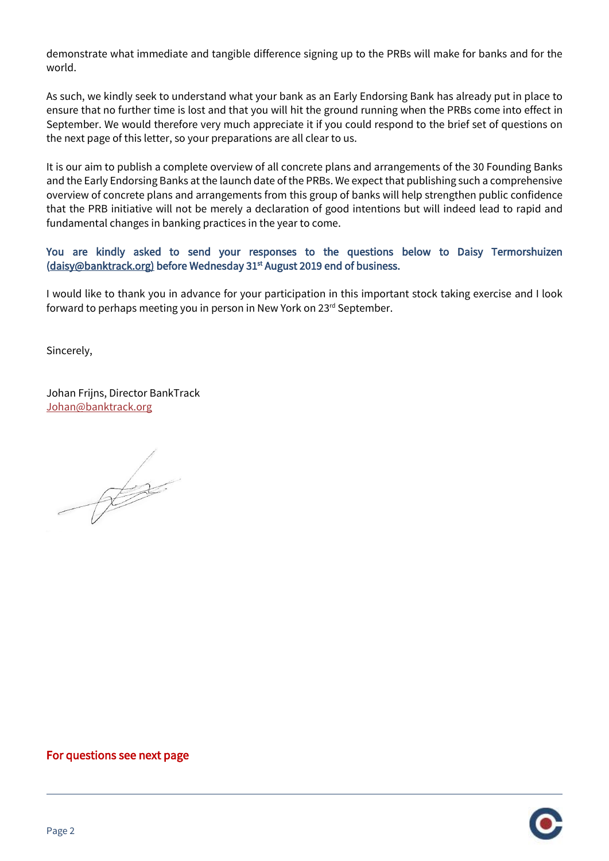demonstrate what immediate and tangible difference signing up to the PRBs will make for banks and for the world.

As such, we kindly seek to understand what your bank as an Early Endorsing Bank has already put in place to ensure that no further time is lost and that you will hit the ground running when the PRBs come into effect in September. We would therefore very much appreciate it if you could respond to the brief set of questions on the next page of this letter, so your preparations are all clear to us.

It is our aim to publish a complete overview of all concrete plans and arrangements of the 30 Founding Banks and the Early Endorsing Banks at the launch date of the PRBs. We expect that publishing such a comprehensive overview of concrete plans and arrangements from this group of banks will help strengthen public confidence that the PRB initiative will not be merely a declaration of good intentions but will indeed lead to rapid and fundamental changes in banking practices in the year to come.

# You are kindly asked to send your responses to the questions below to Daisy Termorshuizen [\(daisy@banktrack.org\)](mailto:daisy@banktrack.org) before Wednesday 31<sup>st</sup> August 2019 end of business.

I would like to thank you in advance for your participation in this important stock taking exercise and I look forward to perhaps meeting you in person in New York on 23<sup>rd</sup> September.

Sincerely,

Johan Frijns, Director BankTrack [Johan@banktrack.org](mailto:Johan@banktrack.org)

 $\frac{1}{\sqrt{2\pi}}$ 

# For questions see next page